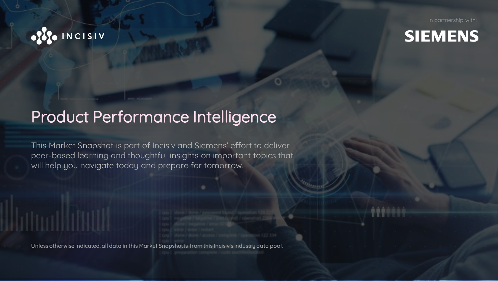In partnership with:



# **SIEMENS**

# Product Performance Intelligence

This Market Snapshot is part of Incisiv and Siemens' effort to deliver peer-based learning and thoughtful insights on important topics that will help you navigate today and prepare for tomorrow.

Unless otherwise indicated, all data in this Market Snapshot is from this Incisiv's industry data pool.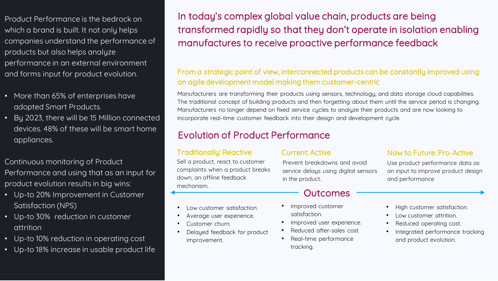Product Performance is the bedrock on which a brand is built. It not only helps companies understand the performance of products but also helps analyze performance in an external environment and forms input for product evolution.

- More than 65% of enterprises have adopted Smart Products.
- By 2023, there will be 15 Million connected devices. 48% of these will be smart home appliances.

Continuous monitoring of Product Performance and using that as an input for product evolution results in big wins:

- Up-to 20% Improvement in Customer Satisfaction (NPS)
- Up-to 30% reduction in customer attrition
- Up-to 10% reduction in operating cost
- Up-to 18% increase in usable product life

In today's complex global value chain, products are being transformed rapidly so that they don't operate in isolation enabling manufactures to receive proactive performance feedback

## From a strategic point of view, interconnected products can be constantly improved using an agile development model making them customer-centric

Manufacturers are transforming their products using sensors, technology, and data storage cloud capabilities. The traditional concept of building products and then forgetting about them until the service period is changing. Manufacturers no longer depend on fixed service cycles to analyze their products and are now looking to incorporate real-time customer feedback into their design and development cycle.

## Evolution of Product Performance

Sell a product, react to customer complaints when a product breaks down, an offline feedback mechanism.

> • Low customer satisfaction. Average user experience.

Delaued feedback for product

Customer churn.

improvement.

Prevent breakdowns and avoid service delays using digital sensors in the product.

## **Outcomes**

- Improved customer satisfaction.
- Improved user experience.
- Reduced after-sales cost.
- Real-time performance tracking.

## Traditionally: Reactive Current: Active Now to Future: Pro-Active

Use product performance data as an input to improve product design and performance

- High customer satisfaction.
- Low customer attrition.
- Reduced operating cost.
- Integrated performance tracking and product evolution.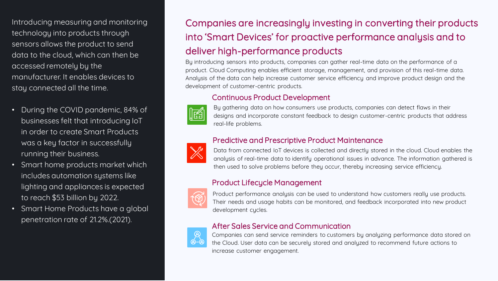Introducing measuring and monitoring technology into products through sensors allows the product to send data to the cloud, which can then be accessed remotely by the manufacturer. It enables devices to stay connected all the time.

- During the COVID pandemic, 84% of businesses felt that introducing IoT in order to create Smart Products was a key factor in successfully running their business.
- Smart home products market which includes automation systems like lighting and appliances is expected to reach \$53 billion by 2022.
- Smart Home Products have a global penetration rate of 21.2%.(2021).

## Companies are increasingly investing in converting their products into 'Smart Devices' for proactive performance analysis and to deliver high-performance products

By introducing sensors into products, companies can gather real-time data on the performance of a product. Cloud Computing enables efficient storage, management, and provision of this real-time data. Analusis of the data can help increase customer service efficiencu and improve product design and the development of customer-centric products.

## Continuous Product Development



By gathering data on how consumers use products, companies can detect flaws in their designs and incorporate constant feedback to design customer-centric products that address real-life problems.

## Predictive and Prescriptive Product Maintenance



Data from connected IoT devices is collected and directly stored in the cloud. Cloud enables the analysis of real-time data to identify operational issues in advance. The information gathered is then used to solve problems before they occur, thereby increasing service efficiency.

## Product Lifecycle Management



Product performance analysis can be used to understand how customers really use products. Their needs and usage habits can be monitored, and feedback incorporated into new product development cucles.

## After Sales Service and Communication



Companies can send service reminders to customers by analyzing performance data stored on the Cloud. User data can be securely stored and analyzed to recommend future actions to increase customer engagement.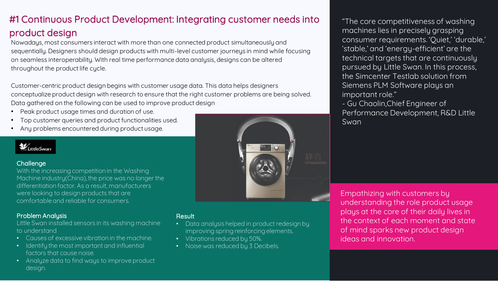## #1 Continuous Product Development: Integrating customer needs into product design

Nowadays, most consumers interact with more than one connected product simultaneously and sequentially. Designers should design products with multi-level customer journeys in mind while focusing on seamless interoperability. With real time performance data analysis, designs can be altered throughout the product life cycle.

Customer-centric product design begins with customer usage data. This data helps designers conceptualize product design with research to ensure that the right customer problems are being solved. Data gathered on the following can be used to improve product design

- Peak product usage times and duration of use.
- Top customer queries and product functionalities used.
- Any problems encountered during product usage.



#### **Challenge**

With the increasing competition in the Washing Machine industry(China), the price was no longer the differentiation factor. As a result, manufacturers were looking to design products that are comfortable and reliable for consumers.

### Problem Analysis

Little Swan installed sensors in its washing machine to understand

- Causes of excessive vibration in the machine.
- Identify the most important and influential factors that cause noise.
- Analyze data to find ways to improve product design.



### **Result**

- Data analysis helped in product redesign by improving spring reinforcing elements.
- Vibrations reduced by 50%.
- Noise was reduced by 3 Decibels.

"The core competitiveness of washing machines lies in precisely grasping consumer requirements. 'Quiet,' 'durable,' 'stable,' and 'energy-efficient' are the technical targets that are continuously pursued by Little Swan. In this process, the Simcenter Testlab solution from Siemens PLM Software plays an important role."

- Gu Chaolin,Chief Engineer of Performance Development, R&D Little Swan

Empathizing with customers by understanding the role product usage plays at the core of their daily lives in the context of each moment and state of mind sparks new product design ideas and innovation.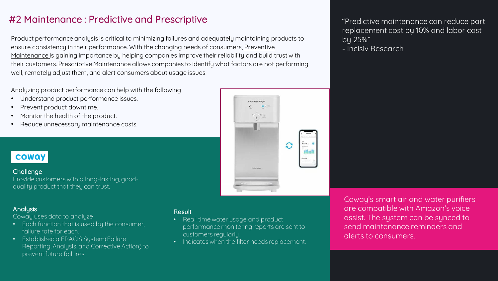## #2 Maintenance : Predictive and Prescriptive

Product performance analysis is critical to minimizing failures and adequately maintaining products to ensure consistency in their performance. With the changing needs of consumers, Preventive Maintenance is gaining importance by helping companies improve their reliability and build trust with their customers. Prescriptive Maintenance allows companies to identify what factors are not performing well, remotely adjust them, and alert consumers about usage issues.

Analyzing product performance can help with the following

- Understand product performance issues.
- Prevent product downtime.
- Monitor the health of the product.
- Reduce unnecessary maintenance costs.

## **COWQY**

**Challenge** Provide customers with a long-lasting, goodquality product that they can trust.



## **Analysis**

Coway uses data to analyze

- Each function that is used by the consumer, failure rate for each.
- Established a FRACIS System(Failure Reporting, Analysis, and Corrective Action) to prevent future failures.

#### **Result**

- Real-time water usage and product performance monitoring reports are sent to customers regularly.
- Indicates when the filter needs replacement.

"Predictive maintenance can reduce part replacement cost by 10% and labor cost by 25%"

- Incisiv Research

Coway's smart air and water purifiers are compatible with Amazon's voice assist. The system can be synced to send maintenance reminders and alerts to consumers.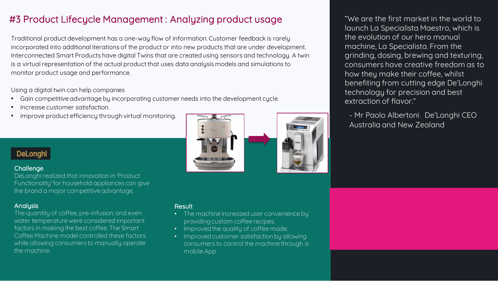## #3 Product Lifecycle Management : Analyzing product usage

Traditional product development has a one-way flow of information. Customer feedback is rarely incorporated into additional iterations of the product or into new products that are under development. Interconnected Smart Products have digital Twins that are created using sensors and technology. A twin is a virtual representation of the actual product that uses data analysis models and simulations to monitor product usage and performance.

Using a digital twin can help companies

- Gain competitive advantage by incorporating customer needs into the development cycle.
- Increase customer satisfaction.
- Improve product efficiency through virtual monitoring.



## el ona

### **Challenge**

DeLonghi realized that innovation in 'Product Functionality' for household appliances can give the brand a major competitive advantage.

## **Analusis**

The quantity of coffee, pre-infusion, and even water temperature were considered important factors in making the best coffee. The Smart Coffee Machine model controlled these factors while allowing consumers to manually operate the machine.

#### Result

- The machine increased user convenience by providing custom coffee recipes.
- Improved the quality of coffee made.
- Improved customer satisfaction by allowing consumers to control the machine through a mobile App.

"We are the first market in the world to launch La Specialista Maestro, which is the evolution of our hero manual machine, La Specialista. From the grinding, dosing, brewing and texturing, consumers have creative freedom as to how they make their coffee, whilst benefiting from cutting edge De'Longhi technology for precision and best extraction of flavor."

- Mr Paolo Albertoni, De'Longhi CEO Australia and New Zealand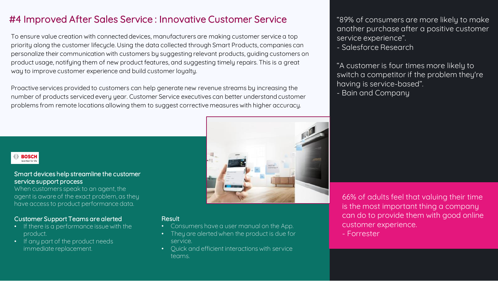## #4 Improved After Sales Service : Innovative Customer Service

To ensure value creation with connected devices, manufacturers are making customer service a top priority along the customer lifecycle. Using the data collected through Smart Products, companies can personalize their communication with customers by suggesting relevant products, guiding customers on product usage, notifying them of new product features, and suggesting timely repairs. This is a great way to improve customer experience and build customer loyalty.

Proactive services provided to customers can help generate new revenue streams by increasing the number of products serviced every year. Customer Service executives can better understand customer problems from remote locations allowing them to suggest corrective measures with higher accuracy.



### Smart devices help streamline the customer service support process

When customers speak to an agent, the agent is aware of the exact problem, as they have access to product performance data.

## Customer Support Teams are alerted

- If there is a performance issue with the product.
- If any part of the product needs immediate replacement.

### Result

- Consumers have a user manual on the App.
- They are alerted when the product is due for service.
- Quick and efficient interactions with service teams.

"89% of consumers are more likely to make another purchase after a positive customer service experience".

- Salesforce Research

"A customer is four times more likely to switch a competitor if the problem they're having is service-based".

- Bain and Company

66% of adults feel that valuing their time is the most important thing a company can do to provide them with good online customer experience. - Forrester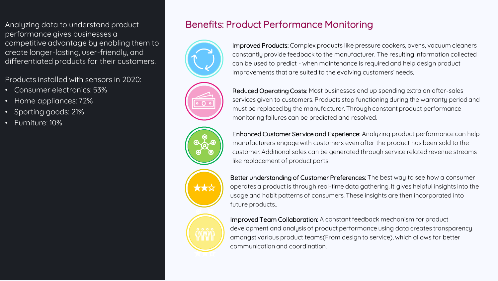Analyzing data to understand product **Benefits: Product Performance Monitoring** performance gives businesses a competitive advantage by enabling them to create longer-lasting, user-friendly, and differentiated products for their customers.

Products installed with sensors in 2020:

- Consumer electronics: 53%
- Home appliances: 72%
- Sporting goods: 21%
- Furniture: 10%







Improved Products: Complex products like pressure cookers, ovens, vacuum cleaners constantly provide feedback to the manufacturer. The resulting information collected can be used to predict - when maintenance is required and help design product improvements that are suited to the evolving customers' needs.

Reduced Operating Costs: Most businesses end up spending extra on after-sales services given to customers. Products stop functioning during the warranty period and must be replaced by the manufacturer. Through constant product performance monitoring failures can be predicted and resolved.

Enhanced Customer Service and Experience: Analyzing product performance can help manufacturers engage with customers even after the product has been sold to the customer. Additional sales can be generated through service related revenue streams like replacement of product parts.

Better understanding of Customer Preferences: The best way to see how a consumer operates a product is through real-time data gathering. It gives helpful insights into the usage and habit patterns of consumers. These insights are then incorporated into future products..

Improved Team Collaboration: A constant feedback mechanism for product development and analysis of product performance using data creates transparency amongst various product teams(From design to service), which allows for better communication and coordination.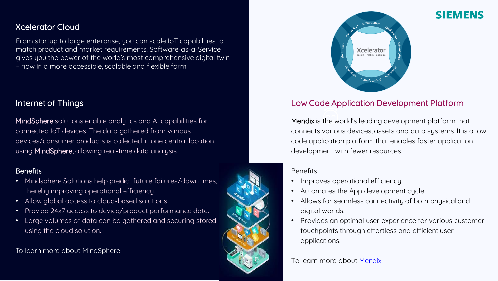## Xcelerator Cloud

From startup to large enterprise, you can scale IoT capabilities to match product and market requirements. Software-as-a-Service gives you the power of the world's most comprehensive digital twin – now in a more accessible, scalable and flexible form

MindSphere solutions enable analytics and AI capabilities for connected IoT devices. The data gathered from various devices/consumer products is collected in one central location using MindSphere, allowing real-time data analysis.

## **Benefits**

- Mindsphere Solutions help predict future failures/downtimes, thereby improving operational efficiency.
- Allow global access to cloud-based solutions.
- Provide 24x7 access to device/product performance data.
- Large volumes of data can be gathered and securing stored using the cloud solution.

To learn more about [MindSphere](https://siemens.mindsphere.io/en/about)





## Internet of Things **Low Code Application Development Platform**

Mendix is the world's leading development platform that connects various devices, assets and data systems. It is a low code application platform that enables faster application development with fewer resources.

### **Benefits**

- Improves operational efficiencu.
- Automates the App development cycle.
- Allows for seamless connectivity of both physical and digital worlds.
- Provides an optimal user experience for various customer touchpoints through effortless and efficient user applications.

To learn more about [Mendix](https://www.mendix.com/)

## **SIEMENS**